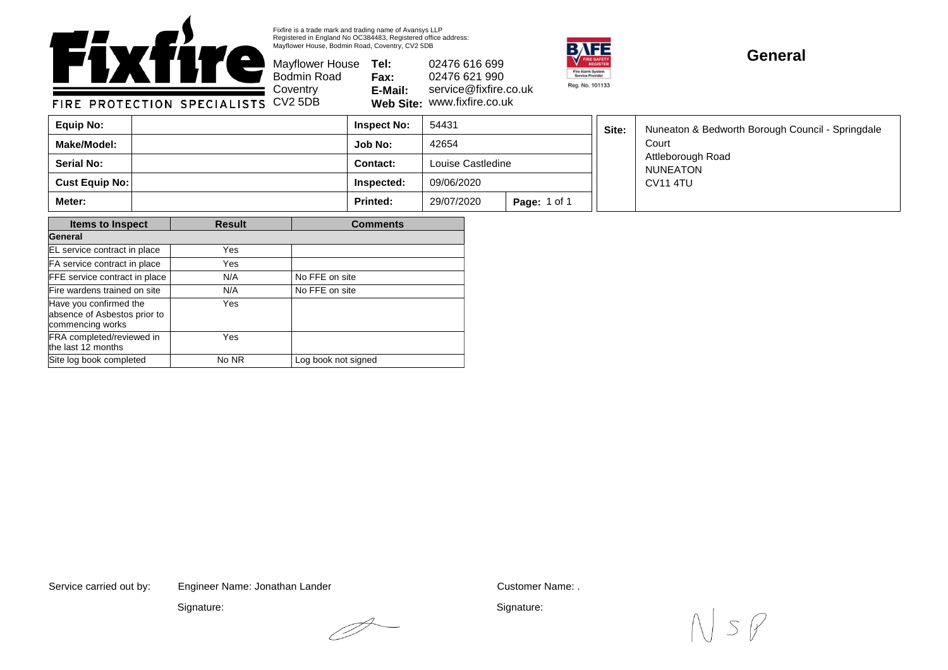

Fixfire is a trade mark and trading name of Avansys LLP Registered in England No OC384483, Registered office address: Mayflower House, Bodmin Road, Coventry, CV2 5DB

 $\mathscr{P}$ 

Mayflower House **Tel:** Bodmin Road **Fax: E-Mail: Web Site:** www.fixfire.co.uk 02476 616 699 02476 621 990 service@fixfire.co.uk



## **General**

**Job No:** 42654 **Inspect No: Contact:** Nuneaton & Bedworth Borough Council - Springdale Court Attleborough Road NUNEATON CV11 4TU Louise Castledine 54431 **Cust Equip No: Inspected:** 09/06/2020 **Make/Model: Serial No: Equip No: Site: Meter: Printed:** 29/07/2020 **Page:** 1 of 1

| <b>Items to Inspect</b>                                                    | <b>Result</b> | <b>Comments</b>     |  |  |
|----------------------------------------------------------------------------|---------------|---------------------|--|--|
| General                                                                    |               |                     |  |  |
| EL service contract in place                                               | Yes           |                     |  |  |
| FA service contract in place                                               | Yes           |                     |  |  |
| FFE service contract in place                                              | N/A           | No FFE on site      |  |  |
| Fire wardens trained on site                                               | N/A           | No FFE on site      |  |  |
| Have you confirmed the<br>absence of Asbestos prior to<br>commencing works | Yes           |                     |  |  |
| FRA completed/reviewed in<br>the last 12 months                            | Yes           |                     |  |  |
| Site log book completed                                                    | No NR         | Log book not signed |  |  |

Service carried out by: Customer Name: . Engineer Name: Jonathan Lander

Signature:

Signature:

 $5/$